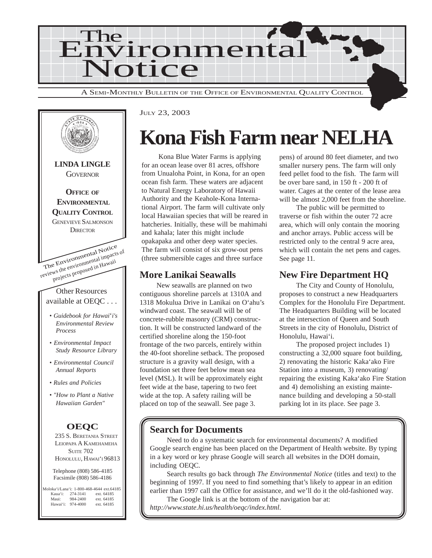



JULY 23, 2003

## **Kona Fish Farm near NELHA**

Kona Blue Water Farms is applying for an ocean lease over 81 acres, offshore from Unualoha Point, in Kona, for an open ocean fish farm. These waters are adjacent to Natural Energy Laboratory of Hawaii Authority and the Keahole-Kona International Airport. The farm will cultivate only local Hawaiian species that will be reared in hatcheries. Initially, these will be mahimahi and kahala; later this might include opakapaka and other deep water species. The farm will consist of six grow-out pens (three submersible cages and three surface

### **More Lanikai Seawalls**

New seawalls are planned on two contiguous shoreline parcels at 1310A and 1318 Mokulua Drive in Lanikai on O'ahu's windward coast. The seawall will be of concrete-rubble masonry (CRM) construction. It will be constructed landward of the certified shoreline along the 150-foot frontage of the two parcels, entirely within the 40-foot shoreline setback. The proposed structure is a gravity wall design, with a foundation set three feet below mean sea level (MSL). It will be approximately eight feet wide at the base, tapering to two feet wide at the top. A safety railing will be placed on top of the seawall. See page 3.

pens) of around 80 feet diameter, and two smaller nursery pens. The farm will only feed pellet food to the fish. The farm will be over bare sand, in 150 ft - 200 ft of water. Cages at the center of the lease area will be almost 2,000 feet from the shoreline.

The public will be permitted to traverse or fish within the outer 72 acre area, which will only contain the mooring and anchor arrays. Public access will be restricted only to the central 9 acre area, which will contain the net pens and cages. See page 11.

## **New Fire Department HQ**

The City and County of Honolulu, proposes to construct a new Headquarters Complex for the Honolulu Fire Department. The Headquarters Building will be located at the intersection of Queen and South Streets in the city of Honolulu, District of Honolulu, Hawai'i.

The proposed project includes 1) constructing a 32,000 square foot building, 2) renovating the historic Kaka'ako Fire Station into a museum, 3) renovating/ repairing the existing Kaka'ako Fire Station and 4) demolishing an existing maintenance building and developing a 50-stall parking lot in its place. See page 3.

## **Search for Documents**

Need to do a systematic search for environmental documents? A modified Google search engine has been placed on the Department of Health website. By typing in a key word or key phrase Google will search all websites in the DOH domain, including OEQC.

Search results go back through *The Environmental Notice* (titles and text) to the beginning of 1997. If you need to find something that's likely to appear in an edition earlier than 1997 call the Office for assistance, and we'll do it the old-fashioned way.

The Google link is at the bottom of the navigation bar at: *http://www.state.hi.us/health/oeqc/index.html*.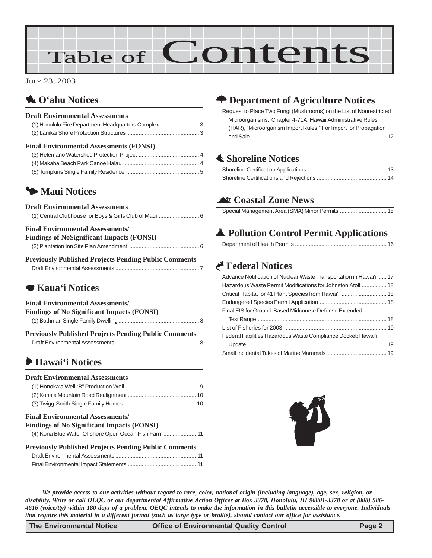# Table of Contents

JULY 23, 2003

## 1 **O'ahu Notices**

#### **Draft Environmental Assessments**

| <b>Final Environmental Assessments (FONSI)</b>      |  |
|-----------------------------------------------------|--|
|                                                     |  |
| (1) Honolulu Fire Department Headquarters Complex 3 |  |
|                                                     |  |

## 3 **Maui Notices**

| <b>Draft Environmental Assessments</b> |  |
|----------------------------------------|--|
|                                        |  |

#### **Final Environmental Assessments/**

| <b>Findings of NoSignificant Impacts (FONSI)</b> |  |
|--------------------------------------------------|--|
|                                                  |  |

**Previously Published Projects Pending Public Comments** Draft Environmental Assessments [...................................................... 7](#page-6-0)

## 7 **Kaua'i Notices**

#### **Final Environmental Assessments/**

| <b>Findings of No Significant Impacts (FONSI)</b> |  |
|---------------------------------------------------|--|
|                                                   |  |

| <b>Previously Published Projects Pending Public Comments</b> |  |
|--------------------------------------------------------------|--|
|                                                              |  |

## 6 **Hawai'i Notices**

| <b>Draft Environmental Assessments</b> |  |
|----------------------------------------|--|
|                                        |  |
|                                        |  |
|                                        |  |

#### **Final Environmental Assessments/ Findings of No Significant Impacts (FONSI)**

| <b>Findings of No Significant Impacts (FONSI)</b> |                                                   |  |
|---------------------------------------------------|---------------------------------------------------|--|
|                                                   | (4) Kona Blue Water Offshore Open Ocean Fish Farm |  |

| <b>Previously Published Projects Pending Public Comments</b> |  |
|--------------------------------------------------------------|--|
|                                                              |  |
|                                                              |  |

## N **Department of Agriculture Notices**

[Request to Place Two Fungi \(Mushrooms\) on the List of Nonrestricted](#page-11-0) Microorganisms, Chapter 4-71A, Hawaii Administrative Rules [\(HAR\), "Microorganism Import Rules," For Import for Propagation](#page-11-0) and Sale [....................................................................................... 12](#page-11-0)

## s **Shoreline Notices**

## ^ **Coastal Zone News**

## V **Pollution Control Permit Applications**

|--|

## G **Federal Notices**

#### Advance Notification of Nuclear Waste Transportation in Hawai'i ...... 17 [Hazardous Waste Permit Modifications for Johnston Atoll ................ 18](#page-17-0) [Critical Habitat for 41 Plant Species from Hawai'i ............................. 18](#page-17-0) [Endangered Species Permit Application](#page-17-0) ........................................... 18 [Final EIS for Ground-Based Midcourse Defense Extended](#page-17-0) Test Range [................................................................................... 18](#page-17-0) [List of Fisheries for 2003 .................................................................. 19](#page-18-0) [Federal Facilities Hazardous Waste Compliance Docket: Hawai'i](#page-18-0) Update [.......................................................................................... 19](#page-18-0) [Small Incidental Takes of Marine Mammals](#page-18-0) ...................................... 19



*We provide access to our activities without regard to race, color, national origin (including language), age, sex, religion, or disability. Write or call OEQC or our departmental Affirmative Action Officer at Box 3378, Honolulu, HI 96801-3378 or at (808) 586- 4616 (voice/tty) within 180 days of a problem. OEQC intends to make the information in this bulletin accessible to everyone. Individuals that require this material in a different format (such as large type or braille), should contact our office for assistance.*

**The Environmental Notice Control Control Control Page 2** Control Page 2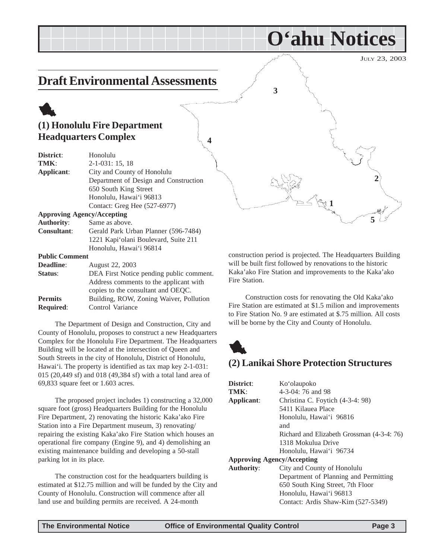JULY 23, 2003

## <span id="page-2-0"></span>**Draft Environmental Assessments**

## 1 **(1) Honolulu Fire Department Headquarters Complex**

| District:         | Honolulu                              |
|-------------------|---------------------------------------|
| TMK:              | $2-1-031:15,18$                       |
| Applicant:        | City and County of Honolulu           |
|                   | Department of Design and Construction |
|                   | 650 South King Street                 |
|                   | Honolulu, Hawai'i 96813               |
|                   | Contact: Greg Hee (527-6977)          |
|                   | <b>Approving Agency/Accepting</b>     |
| <b>Authority:</b> | Same as above.                        |

**Consultant**: Gerald Park Urban Planner (596-7484) 1221 Kapi'olani Boulevard, Suite 211 Honolulu, Hawai'i 96814

#### **Public Comment**

| <b>Deadline:</b> | August 22, 2003                          |
|------------------|------------------------------------------|
| Status:          | DEA First Notice pending public comment. |
|                  | Address comments to the applicant with   |
|                  | copies to the consultant and OEQC.       |
| <b>Permits</b>   | Building, ROW, Zoning Waiver, Pollution  |
| <b>Required:</b> | Control Variance                         |

The Department of Design and Construction, City and County of Honolulu, proposes to construct a new Headquarters Complex for the Honolulu Fire Department. The Headquarters Building will be located at the intersection of Queen and South Streets in the city of Honolulu, District of Honolulu, Hawai'i. The property is identified as tax map key 2-1-031: 015 (20,449 sf) and 018 (49,384 sf) with a total land area of 69,833 square feet or 1.603 acres.

The proposed project includes 1) constructing a 32,000 square foot (gross) Headquarters Building for the Honolulu Fire Department, 2) renovating the historic Kaka'ako Fire Station into a Fire Department museum, 3) renovating/ repairing the existing Kaka'ako Fire Station which houses an operational fire company (Engine 9), and 4) demolishing an existing maintenance building and developing a 50-stall parking lot in its place.

The construction cost for the headquarters building is estimated at \$12.75 million and will be funded by the City and County of Honolulu. Construction will commence after all land use and building permits are received. A 24-month



**O'ahu Notices**

construction period is projected. The Headquarters Building will be built first followed by renovations to the historic Kaka'ako Fire Station and improvements to the Kaka'ako Fire Station.

Construction costs for renovating the Old Kaka'ako Fire Station are estimated at \$1.5 milion and improvements to Fire Station No. 9 are estimated at \$.75 million. All costs will be borne by the City and County of Honolulu.



**4**

#### **(2) Lanikai Shore Protection Structures**

| District:                         | Ko'olaupoko                                |
|-----------------------------------|--------------------------------------------|
| TMK:                              | $4-3-04$ : 76 and 98                       |
| Applicant:                        | Christina C. Foytich (4-3-4: 98)           |
|                                   | 5411 Kilauea Place                         |
|                                   | Honolulu, Hawai'i 96816                    |
|                                   | and                                        |
|                                   | Richard and Elizabeth Grossman (4-3-4: 76) |
|                                   | 1318 Mokulua Drive                         |
|                                   | Honolulu, Hawai'i 96734                    |
| <b>Approving Agency/Accepting</b> |                                            |
| <b>Authority:</b>                 | City and County of Honolulu                |
|                                   | Department of Planning and Permitting      |
|                                   | 650 South King Street, 7th Floor           |
|                                   | Honolulu, Hawai'i 96813                    |
|                                   | Contact: Ardis Shaw-Kim (527-5349)         |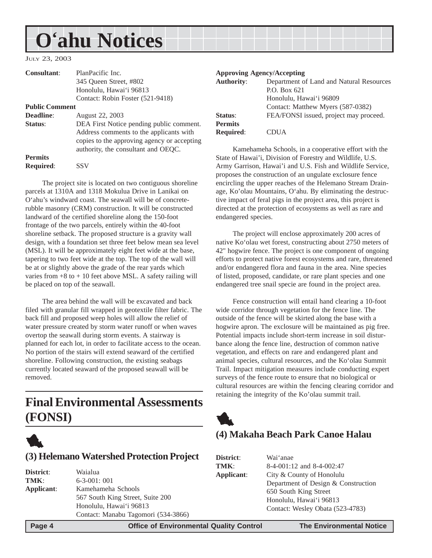## <span id="page-3-0"></span>**O'ahu Notices**

JULY 23, 2003

| <b>Consultant:</b>    | PlanPacific Inc.                                                                       |                   | <b>Approving Agency/Accepting</b>                                                                                      |
|-----------------------|----------------------------------------------------------------------------------------|-------------------|------------------------------------------------------------------------------------------------------------------------|
|                       | 345 Oueen Street, #802                                                                 | <b>Authority:</b> | Department of Land and Natural Resources                                                                               |
|                       | Honolulu, Hawai'i 96813                                                                |                   | P.O. Box 621                                                                                                           |
|                       | Contact: Robin Foster (521-9418)                                                       |                   | Honolulu, Hawai'i 96809                                                                                                |
| <b>Public Comment</b> |                                                                                        |                   | Contact: Matthew Myers (587-0382)                                                                                      |
| Deadline:             | August 22, 2003                                                                        | Status:           | FEA/FONSI issued, project may proceed.                                                                                 |
| Status:               | DEA First Notice pending public comment.                                               | <b>Permits</b>    |                                                                                                                        |
|                       | Address comments to the applicants with<br>copies to the approving agency or accepting | <b>Required:</b>  | <b>CDUA</b>                                                                                                            |
|                       | authority, the consultant and OEQC.                                                    |                   | Kamehameha Schools, in a cooperative effort with the                                                                   |
| <b>Permits</b>        |                                                                                        |                   | State of Hawai'i, Division of Forestry and Wildlife, U.S.                                                              |
| <b>Required:</b>      | <b>SSV</b>                                                                             |                   | Army Garrison, Hawai'i and U.S. Fish and Wildlife Service,<br>proposes the construction of an ungulate exclosure fence |

The project site is located on two contiguous shoreline parcels at 1310A and 1318 Mokulua Drive in Lanikai on O'ahu's windward coast. The seawall will be of concreterubble masonry (CRM) construction. It will be constructed landward of the certified shoreline along the 150-foot frontage of the two parcels, entirely within the 40-foot shoreline setback. The proposed structure is a gravity wall design, with a foundation set three feet below mean sea level (MSL). It will be approximately eight feet wide at the base, tapering to two feet wide at the top. The top of the wall will be at or slightly above the grade of the rear yards which varies from  $+8$  to  $+10$  feet above MSL. A safety railing will be placed on top of the seawall.

The area behind the wall will be excavated and back filed with granular fill wrapped in geotextile filter fabric. The back fill and proposed weep holes will allow the relief of water pressure created by storm water runoff or when waves overtop the seawall during storm events. A stairway is planned for each lot, in order to facilitate access to the ocean. No portion of the stairs will extend seaward of the certified shoreline. Following construction, the existing seabags currently located seaward of the proposed seawall will be removed.

## **Final Environmental Assessments (FONSI)**



#### **(3) Helemano Watershed Protection Project**

| District:  | Waialua                             |
|------------|-------------------------------------|
| TMK:       | $6 - 3 - 001$ : 001                 |
| Applicant: | Kamehameha Schools                  |
|            | 567 South King Street, Suite 200    |
|            | Honolulu, Hawai'i 96813             |
|            | Contact: Manabu Tagomori (534-3866) |

proposes the construction of an ungulate exclosure fence encircling the upper reaches of the Helemano Stream Drainage, Ko'olau Mountains, O'ahu. By eliminating the destructive impact of feral pigs in the project area, this project is directed at the protection of ecosystems as well as rare and endangered species.

The project will enclose approximately 200 acres of native Ko'olau wet forest, constructing about 2750 meters of 42" hogwire fence. The project is one component of ongoing efforts to protect native forest ecosystems and rare, threatened and/or endangered flora and fauna in the area. Nine species of listed, proposed, candidate, or rare plant species and one endangered tree snail specie are found in the project area.

Fence construction will entail hand clearing a 10-foot wide corridor through vegetation for the fence line. The outside of the fence will be skirted along the base with a hogwire apron. The exclosure will be maintained as pig free. Potential impacts include short-term increase in soil disturbance along the fence line, destruction of common native vegetation, and effects on rare and endangered plant and animal species, cultural resources, and the Ko'olau Summit Trail. Impact mitigation measures include conducting expert surveys of the fence route to ensure that no biological or cultural resources are within the fencing clearing corridor and retaining the integrity of the Ko'olau summit trail.



### **(4) Makaha Beach Park Canoe Halau**

| District:  | Wai 'anae                           |
|------------|-------------------------------------|
| TMK:       | 8-4-001:12 and 8-4-002:47           |
| Applicant: | City & County of Honolulu           |
|            | Department of Design & Construction |
|            | 650 South King Street               |
|            | Honolulu, Hawai'i 96813             |
|            | Contact: Wesley Obata (523-4783)    |
|            |                                     |

 **Page 4 Control Control Control Control Page 4 Control Control Control Page 4 The Environmental Notice**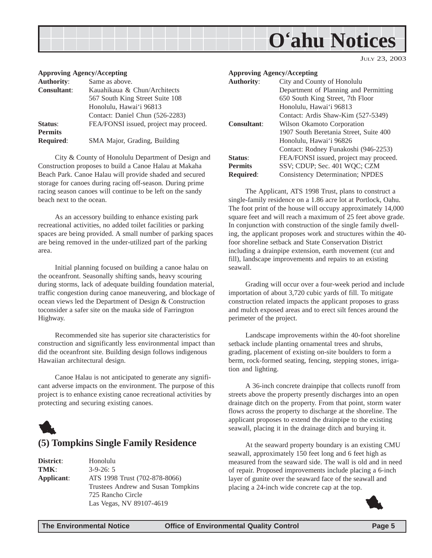## **O'ahu Notices**

JULY 23, 2003

#### <span id="page-4-0"></span>**Approving Agency/Accepting**

| <b>Authority:</b>  | Same as above.                         |
|--------------------|----------------------------------------|
| <b>Consultant:</b> | Kauahikaua & Chun/Architects           |
|                    | 567 South King Street Suite 108        |
|                    | Honolulu, Hawai'i 96813                |
|                    | Contact: Daniel Chun (526-2283)        |
| Status:            | FEA/FONSI issued, project may proceed. |
| <b>Permits</b>     |                                        |
| <b>Required:</b>   | SMA Major, Grading, Building           |
|                    |                                        |

City & County of Honolulu Department of Design and Construction proposes to build a Canoe Halau at Makaha Beach Park. Canoe Halau will provide shaded and secured storage for canoes during racing off-season. During prime racing season canoes will continue to be left on the sandy beach next to the ocean.

As an accessory building to enhance existing park recreational activities, no added toilet facilities or parking spaces are being provided. A small number of parking spaces are being removed in the under-utilized part of the parking area.

Initial planning focused on building a canoe halau on the oceanfront. Seasonally shifting sands, heavy scouring during storms, lack of adequate building foundation material, traffic congestion during canoe maneuvering, and blockage of ocean views led the Department of Design & Construction toconsider a safer site on the mauka side of Farrington Highway.

Recommended site has superior site characteristics for construction and significantly less environmental impact than did the oceanfront site. Building design follows indigenous Hawaiian architectural design.

Canoe Halau is not anticipated to generate any significant adverse impacts on the environment. The purpose of this project is to enhance existing canoe recreational activities by protecting and securing existing canoes.



#### **(5) Tompkins Single Family Residence**

| District:  | Honolulu                           |
|------------|------------------------------------|
| TMK:       | $3-9-26:5$                         |
| Applicant: | ATS 1998 Trust (702-878-8066)      |
|            | Trustees Andrew and Susan Tompkins |
|            | 725 Rancho Circle                  |
|            | Las Vegas, NV 89107-4619           |

|                   | <b>Approving Agency/Accepting</b>       |
|-------------------|-----------------------------------------|
| <b>Authority:</b> | City and County of Honolulu             |
|                   | Department of Planning and Permitting   |
|                   | 650 South King Street, 7th Floor        |
|                   | Honolulu, Hawai'i 96813                 |
|                   | Contact: Ardis Shaw-Kim (527-5349)      |
| Consultant:       | Wilson Okamoto Corporation              |
|                   | 1907 South Beretania Street, Suite 400  |
|                   | Honolulu, Hawai'i 96826                 |
|                   | Contact: Rodney Funakoshi (946-2253)    |
| Status:           | FEA/FONSI issued, project may proceed.  |
| <b>Permits</b>    | SSV; CDUP; Sec. 401 WQC; CZM            |
| <b>Required:</b>  | <b>Consistency Determination; NPDES</b> |

The Applicant, ATS 1998 Trust, plans to construct a single-family residence on a 1.86 acre lot at Portlock, Oahu. The foot print of the house will occupy approximately 14,000 square feet and will reach a maximum of 25 feet above grade. In conjunction with construction of the single family dwelling, the applicant proposes work and structures within the 40 foor shoreline setback and State Conservation District including a drainpipe extension, earth movement (cut and fill), landscape improvements and repairs to an existing seawall.

Grading will occur over a four-week period and include importation of about 3,720 cubic yards of fill. To mitigate construction related impacts the applicant proposes to grass and mulch exposed areas and to erect silt fences around the perimeter of the project.

Landscape improvements within the 40-foot shoreline setback include planting ornamental trees and shrubs, grading, placement of existing on-site boulders to form a berm, rock-formed seating, fencing, stepping stones, irrigation and lighting.

A 36-inch concrete drainpipe that collects runoff from streets above the property presently discharges into an open drainage ditch on the property. From that point, storm water flows across the property to discharge at the shoreline. The applicant proposes to extend the drainpipe to the existing seawall, placing it in the drainage ditch and burying it.

At the seaward property boundary is an existing CMU seawall, approximately 150 feet long and 6 feet high as measured from the seaward side. The wall is old and in need of repair. Proposed improvements include placing a 6-inch layer of gunite over the seaward face of the seawall and placing a 24-inch wide concrete cap at the top.

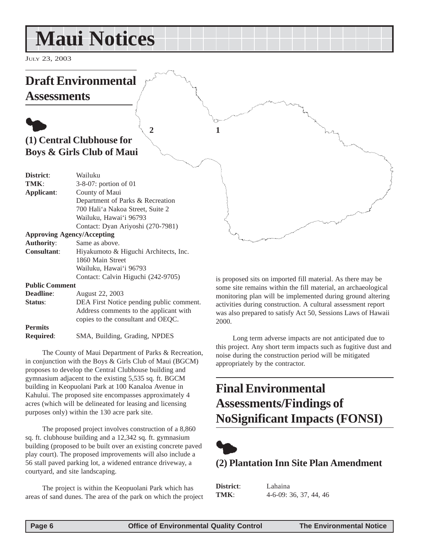## <span id="page-5-0"></span>**Maui Notices**

JULY 23, 2003

## **Draft Environmental**

**Assessments**

## $\bullet$ **(1) Central Clubhouse for Boys & Girls Club of Maui**

| District:  | Wailuku                           |
|------------|-----------------------------------|
| TMK:       | 3-8-07: portion of 01             |
| Applicant: | County of Maui                    |
|            | Department of Parks & Recreation  |
|            | 700 Hali'a Nakoa Street, Suite 2  |
|            | Wailuku, Hawai'i 96793            |
|            | Contact: Dyan Ariyoshi (270-7981) |
|            | $A = 1$                           |

#### **Approving Agency/Accepting**

| <b>Authority:</b>  | Same as above.                        |
|--------------------|---------------------------------------|
| <b>Consultant:</b> | Hiyakumoto & Higuchi Architects, Inc. |
|                    | 1860 Main Street                      |
|                    | Wailuku, Hawai'i 96793                |
|                    | Contact: Calvin Higuchi (242-9705)    |

#### **Public Comment**

| <b>Deadline:</b> | August 22, 2003                          |
|------------------|------------------------------------------|
| Status:          | DEA First Notice pending public comment. |
|                  | Address comments to the applicant with   |
|                  | copies to the consultant and OEOC.       |
| <b>Permits</b>   |                                          |
| <b>Required:</b> | SMA, Building, Grading, NPDES            |

The County of Maui Department of Parks & Recreation, in conjunction with the Boys & Girls Club of Maui (BGCM) proposes to develop the Central Clubhouse building and gymnasium adjacent to the existing 5,535 sq. ft. BGCM building in Keopuolani Park at 100 Kanaloa Avenue in Kahului. The proposed site encompasses approximately 4 acres (which will be delineated for leasing and licensing purposes only) within the 130 acre park site.

The proposed project involves construction of a 8,860 sq. ft. clubhouse building and a 12,342 sq. ft. gymnasium building (proposed to be built over an existing concrete paved play court). The proposed improvements will also include a 56 stall paved parking lot, a widened entrance driveway, a courtyard, and site landscaping.

The project is within the Keopuolani Park which has areas of sand dunes. The area of the park on which the project is proposed sits on imported fill material. As there may be some site remains within the fill material, an archaeological monitoring plan will be implemented during ground altering activities during construction. A cultural assessment report was also prepared to satisfy Act 50, Sessions Laws of Hawaii 2000.

Long term adverse impacts are not anticipated due to this project. Any short term impacts such as fugitive dust and noise during the construction period will be mitigated appropriately by the contractor.

## **Final Environmental Assessments/Findings of NoSignificant Impacts (FONSI)**



### **(2) Plantation Inn Site Plan Amendment**

**District**: Lahaina **TMK**: 4-6-09: 36, 37, 44, 46

**2 1**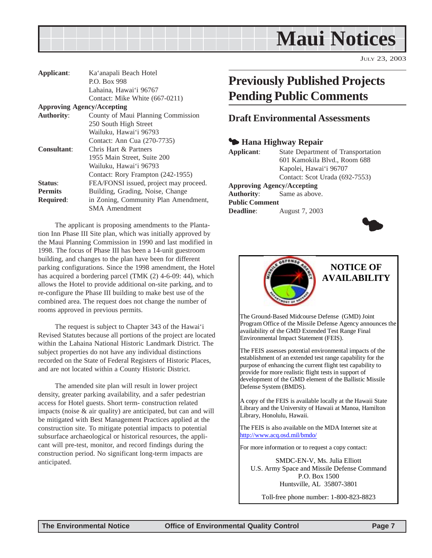<span id="page-6-0"></span>

JULY 23, 2003

| Applicant:                        | Ka'anapali Beach Hotel                 |
|-----------------------------------|----------------------------------------|
|                                   | P.O. Box 998                           |
|                                   | Lahaina, Hawai'i 96767                 |
|                                   | Contact: Mike White (667-0211)         |
| <b>Approving Agency/Accepting</b> |                                        |
| <b>Authority:</b>                 | County of Maui Planning Commission     |
|                                   | 250 South High Street                  |
|                                   | Wailuku, Hawai'i 96793                 |
|                                   | Contact: Ann Cua (270-7735)            |
| <b>Consultant:</b>                | Chris Hart & Partners                  |
|                                   | 1955 Main Street, Suite 200            |
|                                   | Wailuku, Hawai'i 96793                 |
|                                   | Contact: Rory Frampton (242-1955)      |
| Status:                           | FEA/FONSI issued, project may proceed. |
| <b>Permits</b>                    | Building, Grading, Noise, Change       |
| <b>Required:</b>                  | in Zoning, Community Plan Amendment,   |
|                                   | SMA Amendment                          |

The applicant is proposing amendments to the Plantation Inn Phase III Site plan, which was initially approved by the Maui Planning Commission in 1990 and last modified in 1998. The focus of Phase III has been a 14-unit guestroom building, and changes to the plan have been for different parking configurations. Since the 1998 amendment, the Hotel has acquired a bordering parcel (TMK (2) 4-6-09: 44), which allows the Hotel to provide additional on-site parking, and to re-configure the Phase III building to make best use of the combined area. The request does not change the number of rooms approved in previous permits.

The request is subject to Chapter 343 of the Hawai'i Revised Statutes because all portions of the project are located within the Lahaina National Historic Landmark District. The subject properties do not have any individual distinctions recorded on the State of Federal Registers of Historic Places, and are not located within a County Historic District.

The amended site plan will result in lower project density, greater parking availability, and a safer pedestrian access for Hotel guests. Short term- construction related impacts (noise & air quality) are anticipated, but can and will be mitigated with Best Management Practices applied at the construction site. To mitigate potential impacts to potential subsurface archaeological or historical resources, the applicant will pre-test, monitor, and record findings during the construction period. No significant long-term impacts are anticipated.

## **Previously Published Projects Pending Public Comments**

#### **Draft Environmental Assessments**

#### 3 **Hana Highway Repair**

| Applicant:         | State Department of Transportation |
|--------------------|------------------------------------|
|                    | 601 Kamokila Blvd., Room 688       |
|                    | Kapolei, Hawai'i 96707             |
|                    | Contact: Scot Urada (692-7553)     |
|                    | <b>Approving Agency/Accepting</b>  |
| $\Lambda$ uthority | $S_{\alpha}$ as above              |

**Authority**: Same as above. **Public Comment Deadline**: **August 7, 2003** 





The Ground-Based Midcourse Defense (GMD) Joint Program Office of the Missile Defense Agency announces the availability of the GMD Extended Test Range Final Environmental Impact Statement (FEIS).

The FEIS assesses potential environmental impacts of the establishment of an extended test range capability for the purpose of enhancing the current flight test capability to provide for more realistic flight tests in support of development of the GMD element of the Ballistic Missile Defense System (BMDS).

A copy of the FEIS is available locally at the Hawaii State Library and the University of Hawaii at Manoa, Hamilton Library, Honolulu, Hawaii.

The FEIS is also available on the MDA Internet site at http://www.acq.osd.mil/bmdo/

For more information or to request a copy contact:

SMDC-EN-V, Ms. Julia Elliott U.S. Army Space and Missile Defense Command P.O. Box 1500 Huntsville, AL 35807-3801

Toll-free phone number: 1-800-823-8823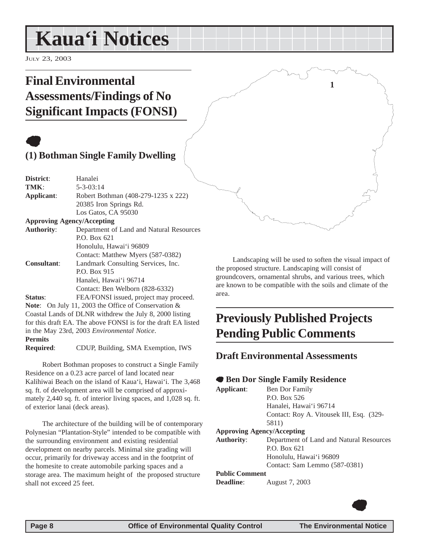## <span id="page-7-0"></span>**Kaua'i Notices**

JULY 23, 2003

## **Final Environmental Assessments/Findings of No Significant Impacts (FONSI)**

## **(1) Bothman Single Family Dwelling**

| District:                         | Hanalei                                                       |
|-----------------------------------|---------------------------------------------------------------|
| TMK:                              | $5 - 3 - 03:14$                                               |
| Applicant:                        | Robert Bothman (408-279-1235 x 222)                           |
|                                   | 20385 Iron Springs Rd.                                        |
|                                   | Los Gatos, CA 95030                                           |
| <b>Approving Agency/Accepting</b> |                                                               |
| <b>Authority:</b>                 | Department of Land and Natural Resources                      |
|                                   | P.O. Box 621                                                  |
|                                   | Honolulu, Hawai'i 96809                                       |
|                                   | Contact: Matthew Myers (587-0382)                             |
| <b>Consultant:</b>                | Landmark Consulting Services, Inc.                            |
|                                   | P.O. Box 915                                                  |
|                                   | Hanalei, Hawai'i 96714                                        |
|                                   | Contact: Ben Welborn (828-6332)                               |
| Status:                           | FEA/FONSI issued, project may proceed.                        |
|                                   | <b>Note:</b> On July 11, 2003 the Office of Conservation $\&$ |
|                                   | Coastal Lands of DLNR withdrew the July 8, 2000 listing       |
|                                   | for this draft EA. The above FONSI is for the draft EA listed |
|                                   | in the May 23rd, 2003 Environmental Notice.                   |
| <b>Permits</b>                    |                                                               |
| <b>Required:</b>                  | CDUP, Building, SMA Exemption, IWS                            |
|                                   |                                                               |

Robert Bothman proposes to construct a Single Family Residence on a 0.23 acre parcel of land located near Kalihiwai Beach on the island of Kaua'i, Hawai'i. The 3,468 sq. ft. of development area will be comprised of approximately 2,440 sq. ft. of interior living spaces, and 1,028 sq. ft. of exterior lanai (deck areas).

The architecture of the building will be of contemporary Polynesian "Plantation-Style" intended to be compatible with the surrounding environment and existing residential development on nearby parcels. Minimal site grading will occur, primarily for driveway access and in the footprint of the homesite to create automobile parking spaces and a storage area. The maximum height of the proposed structure shall not exceed 25 feet.

Landscaping will be used to soften the visual impact of the proposed structure. Landscaping will consist of groundcovers, ornamental shrubs, and various trees, which are known to be compatible with the soils and climate of the area.

**1**

## **Previously Published Projects Pending Public Comments**

### **Draft Environmental Assessments**

#### 7 **Ben Dor Single Family Residence**

| Applicant:            | Ben Dor Family                           |
|-----------------------|------------------------------------------|
|                       | P.O. Box 526                             |
|                       | Hanalei, Hawai'i 96714                   |
|                       | Contact: Roy A. Vitousek III, Esq. (329- |
|                       | 5811)                                    |
|                       | <b>Approving Agency/Accepting</b>        |
| <b>Authority:</b>     | Department of Land and Natural Resources |
|                       | P.O. Box 621                             |
|                       | Honolulu, Hawai'i 96809                  |
|                       | Contact: Sam Lemmo (587-0381)            |
| <b>Public Comment</b> |                                          |
| <b>Deadline:</b>      | August 7, 2003                           |
|                       |                                          |
|                       |                                          |

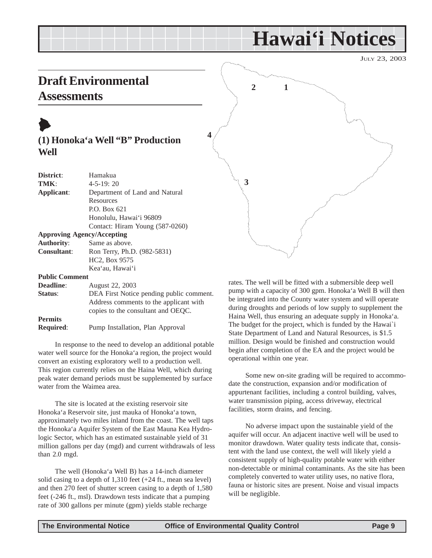JULY 23, 2003

## <span id="page-8-0"></span>**Draft Environmental Assessments**

## $\blacktriangleright$ **(1) Honoka'a Well "B" Production Well**

**4**

| District:                         | Hamakua                         |
|-----------------------------------|---------------------------------|
| TMK:                              | $4 - 5 - 19:20$                 |
| Applicant:                        | Department of Land and Natural  |
|                                   | Resources                       |
|                                   | P.O. Box 621                    |
|                                   | Honolulu, Hawai'i 96809         |
|                                   | Contact: Hiram Young (587-0260) |
| <b>Approving Agency/Accepting</b> |                                 |
| <b>Authority:</b>                 | Same as above.                  |
| <b>Consultant:</b>                | Ron Terry, Ph.D. (982-5831)     |
|                                   | HC <sub>2</sub> , Box 9575      |
|                                   | Kea'au, Hawai'i                 |
| $\mathbf{L}$ iii $\alpha$         |                                 |

**Public Comment**

| <b>Deadline:</b> | August 22, 2003                          |
|------------------|------------------------------------------|
| Status:          | DEA First Notice pending public comment. |
|                  | Address comments to the applicant with   |
|                  | copies to the consultant and OEQC.       |
| <b>Permits</b>   |                                          |
| <b>Required:</b> | Pump Installation, Plan Approval         |

In response to the need to develop an additional potable water well source for the Honoka'a region, the project would convert an existing exploratory well to a production well. This region currently relies on the Haina Well, which during peak water demand periods must be supplemented by surface water from the Waimea area.

The site is located at the existing reservoir site Honoka'a Reservoir site, just mauka of Honoka'a town, approximately two miles inland from the coast. The well taps the Honoka'a Aquifer System of the East Mauna Kea Hydrologic Sector, which has an estimated sustainable yield of 31 million gallons per day (mgd) and current withdrawals of less than 2.0 mgd.

The well (Honoka'a Well B) has a 14-inch diameter solid casing to a depth of 1,310 feet (+24 ft., mean sea level) and then 270 feet of shutter screen casing to a depth of 1,580 feet (-246 ft., msl). Drawdown tests indicate that a pumping rate of 300 gallons per minute (gpm) yields stable recharge



rates. The well will be fitted with a submersible deep well pump with a capacity of 300 gpm. Honoka'a Well B will then be integrated into the County water system and will operate during droughts and periods of low supply to supplement the Haina Well, thus ensuring an adequate supply in Honoka'a. The budget for the project, which is funded by the Hawai`i State Department of Land and Natural Resources, is \$1.5 million. Design would be finished and construction would begin after completion of the EA and the project would be operational within one year.

Some new on-site grading will be required to accommodate the construction, expansion and/or modification of appurtenant facilities, including a control building, valves, water transmission piping, access driveway, electrical facilities, storm drains, and fencing.

No adverse impact upon the sustainable yield of the aquifer will occur. An adjacent inactive well will be used to monitor drawdown. Water quality tests indicate that, consistent with the land use context, the well will likely yield a consistent supply of high-quality potable water with either non-detectable or minimal contaminants. As the site has been completely converted to water utility uses, no native flora, fauna or historic sites are present. Noise and visual impacts will be negligible.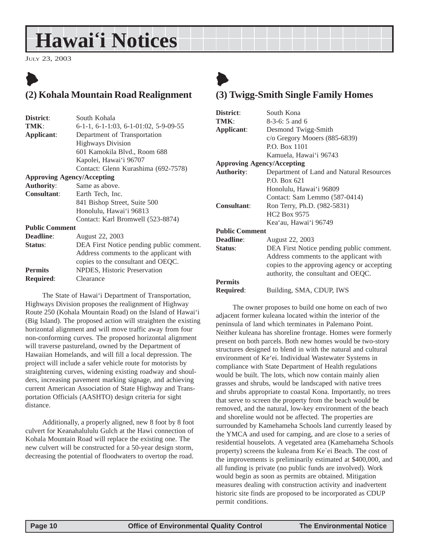<span id="page-9-0"></span>JULY 23, 2003

## $\blacktriangleright$ **(2) Kohala Mountain Road Realignment**

| District:             | South Kohala                             |
|-----------------------|------------------------------------------|
| TMK:                  | $6-1-1, 6-1-1:03, 6-1-01:02, 5-9-09-55$  |
| Applicant:            | Department of Transportation             |
|                       | <b>Highways Division</b>                 |
|                       | 601 Kamokila Blvd., Room 688             |
|                       | Kapolei, Hawai'i 96707                   |
|                       | Contact: Glenn Kurashima (692-7578)      |
|                       | <b>Approving Agency/Accepting</b>        |
| <b>Authority:</b>     | Same as above.                           |
| <b>Consultant:</b>    | Earth Tech, Inc.                         |
|                       | 841 Bishop Street, Suite 500             |
|                       | Honolulu, Hawai'i 96813                  |
|                       | Contact: Karl Bromwell (523-8874)        |
| <b>Public Comment</b> |                                          |
| <b>Deadline:</b>      | August 22, 2003                          |
| Status:               | DEA First Notice pending public comment. |
|                       | Address comments to the applicant with   |
|                       | copies to the consultant and OEQC.       |
| <b>Permits</b>        | NPDES, Historic Preservation             |
| <b>Required:</b>      | Clearance                                |
|                       |                                          |

The State of Hawai'i Department of Transportation, Highways Division proposes the realignment of Highway Route 250 (Kohala Mountain Road) on the Island of Hawai'i (Big Island). The proposed action will straighten the existing horizontal alignment and will move traffic away from four non-conforming curves. The proposed horizontal alignment will traverse pastureland, owned by the Department of Hawaiian Homelands, and will fill a local depression. The project will include a safer vehicle route for motorists by straightening curves, widening existing roadway and shoulders, increasing pavement marking signage, and achieving current American Association of State Highway and Transportation Officials (AASHTO) design criteria for sight distance.

Additionally, a properly aligned, new 8 foot by 8 foot culvert for Keanahalululu Gulch at the Hawi connection of Kohala Mountain Road will replace the existing one. The new culvert will be constructed for a 50-year design storm, decreasing the potential of floodwaters to overtop the road.

## $\blacktriangleright$ **(3) Twigg-Smith Single Family Homes**

| District:                         | South Kona                                  |
|-----------------------------------|---------------------------------------------|
| TMK:                              | 8-3-6: 5 and 6                              |
| Applicant:                        | Desmond Twigg-Smith                         |
|                                   | c/o Gregory Mooers (885-6839)               |
|                                   | P.O. Box 1101                               |
|                                   | Kamuela, Hawai'i 96743                      |
| <b>Approving Agency/Accepting</b> |                                             |
| <b>Authority:</b>                 | Department of Land and Natural Resources    |
|                                   | P.O. Box 621                                |
|                                   | Honolulu, Hawai'i 96809                     |
|                                   | Contact: Sam Lemmo (587-0414)               |
| <b>Consultant:</b>                | Ron Terry, Ph.D. (982-5831)                 |
|                                   | <b>HC<sub>2</sub></b> Box 9575              |
|                                   | Kea'au, Hawai'i 96749                       |
| <b>Public Comment</b>             |                                             |
| Deadline:                         | August 22, 2003                             |
| Status:                           | DEA First Notice pending public comment.    |
|                                   | Address comments to the applicant with      |
|                                   | copies to the approving agency or accepting |
|                                   | authority, the consultant and OEQC.         |
| <b>Permits</b>                    |                                             |
| <b>Required:</b>                  | Building, SMA, CDUP, IWS                    |

The owner proposes to build one home on each of two adjacent former kuleana located within the interior of the peninsula of land which terminates in Palemano Point. Neither kuleana has shoreline frontage. Homes were formerly present on both parcels. Both new homes would be two-story structures designed to blend in with the natural and cultural environment of Ke'ei. Individual Wastewater Systems in compliance with State Department of Health regulations would be built. The lots, which now contain mainly alien grasses and shrubs, would be landscaped with native trees and shrubs appropriate to coastal Kona. Importantly, no trees that serve to screen the property from the beach would be removed, and the natural, low-key environment of the beach and shoreline would not be affected. The properties are surrounded by Kamehameha Schools land currently leased by the YMCA and used for camping, and are close to a series of residential houselots. A vegetated area (Kamehameha Schools property) screens the kuleana from Ke`ei Beach. The cost of the improvements is preliminarily estimated at \$400,000, and all funding is private (no public funds are involved). Work would begin as soon as permits are obtained. Mitigation measures dealing with construction activity and inadvertent historic site finds are proposed to be incorporated as CDUP permit conditions.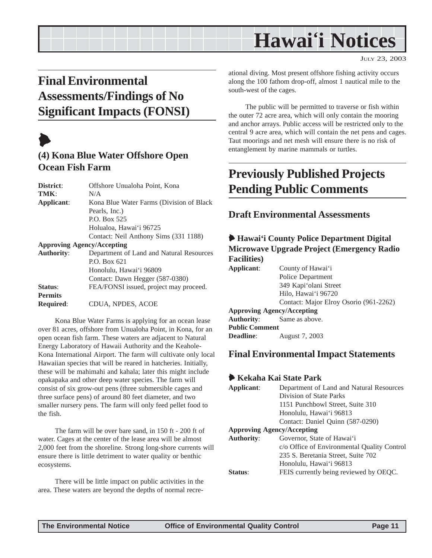## <span id="page-10-0"></span>**Final Environmental Assessments/Findings of No Significant Impacts (FONSI)**

## $\blacklozenge$

### **(4) Kona Blue Water Offshore Open Ocean Fish Farm**

| District:                         | Offshore Unualoha Point, Kona             |
|-----------------------------------|-------------------------------------------|
| TMK:                              | N/A                                       |
| Applicant:                        | Kona Blue Water Farms (Division of Black) |
|                                   | Pearls, Inc.)                             |
|                                   | P.O. Box 525                              |
|                                   | Holualoa, Hawai'i 96725                   |
|                                   | Contact: Neil Anthony Sims (331 1188)     |
| <b>Approving Agency/Accepting</b> |                                           |
| <b>Authority:</b>                 | Department of Land and Natural Resources  |
|                                   | P.O. Box 621                              |
|                                   | Honolulu, Hawai'i 96809                   |
|                                   | Contact: Dawn Hegger (587-0380)           |
| Status:                           | FEA/FONSI issued, project may proceed.    |
| <b>Permits</b>                    |                                           |
| <b>Required:</b>                  | CDUA. NPDES. ACOE                         |

Kona Blue Water Farms is applying for an ocean lease over 81 acres, offshore from Unualoha Point, in Kona, for an open ocean fish farm. These waters are adjacent to Natural Energy Laboratory of Hawaii Authority and the Keahole-Kona International Airport. The farm will cultivate only local Hawaiian species that will be reared in hatcheries. Initially, these will be mahimahi and kahala; later this might include opakapaka and other deep water species. The farm will consist of six grow-out pens (three submersible cages and three surface pens) of around 80 feet diameter, and two smaller nursery pens. The farm will only feed pellet food to the fish.

The farm will be over bare sand, in 150 ft - 200 ft of water. Cages at the center of the lease area will be almost 2,000 feet from the shoreline. Strong long-shore currents will ensure there is little detriment to water quality or benthic ecosystems.

There will be little impact on public activities in the area. These waters are beyond the depths of normal recreational diving. Most present offshore fishing activity occurs along the 100 fathom drop-off, almost 1 nautical mile to the south-west of the cages.

The public will be permitted to traverse or fish within the outer 72 acre area, which will only contain the mooring and anchor arrays. Public access will be restricted only to the central 9 acre area, which will contain the net pens and cages. Taut moorings and net mesh will ensure there is no risk of entanglement by marine mammals or turtles.

## **Previously Published Projects Pending Public Comments**

### **Draft Environmental Assessments**

#### 6 **Hawai'i County Police Department Digital Microwave Upgrade Project (Emergency Radio Facilities)**

| Applicant:            | County of Hawai'i                      |
|-----------------------|----------------------------------------|
|                       | Police Department                      |
|                       | 349 Kapi'olani Street                  |
|                       | Hilo, Hawai'i 96720                    |
|                       | Contact: Major Elroy Osorio (961-2262) |
|                       | <b>Approving Agency/Accepting</b>      |
|                       | <b>Authority:</b> Same as above.       |
| <b>Public Comment</b> |                                        |
| <b>Deadline:</b>      | August 7, 2003                         |

### **Final Environmental Impact Statements**

#### 6 **Kekaha Kai State Park**

| Applicant:                        | Department of Land and Natural Resources    |  |
|-----------------------------------|---------------------------------------------|--|
|                                   | Division of State Parks                     |  |
|                                   | 1151 Punchbowl Street, Suite 310            |  |
|                                   | Honolulu, Hawai'i 96813                     |  |
|                                   | Contact: Daniel Quinn (587-0290)            |  |
| <b>Approving Agency/Accepting</b> |                                             |  |
| <b>Authority:</b>                 | Governor, State of Hawai'i                  |  |
|                                   | c/o Office of Environmental Quality Control |  |
|                                   | 235 S. Beretania Street, Suite 702          |  |
|                                   | Honolulu, Hawai'i 96813                     |  |
| Status <sup>.</sup>               | FEIS currently being reviewed by OEQC.      |  |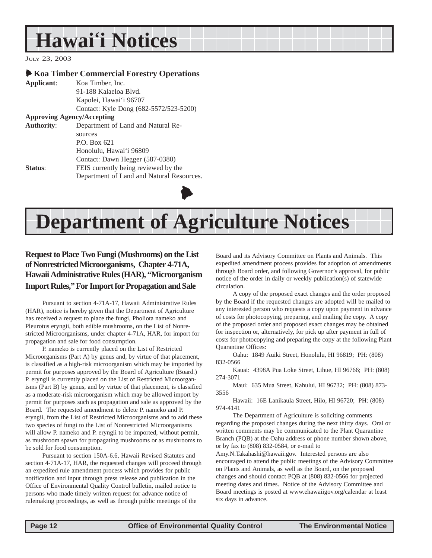<span id="page-11-0"></span>JULY 23, 2003

#### 6 **Koa Timber Commercial Forestry Operations**

| Applicant:                        | Koa Timber, Inc.                          |  |
|-----------------------------------|-------------------------------------------|--|
|                                   | 91-188 Kalaeloa Blyd.                     |  |
|                                   | Kapolei, Hawai'i 96707                    |  |
|                                   | Contact: Kyle Dong (682-5572/523-5200)    |  |
| <b>Approving Agency/Accepting</b> |                                           |  |
| <b>Authority:</b>                 | Department of Land and Natural Re-        |  |
|                                   | sources                                   |  |
|                                   | P.O. Box 621                              |  |
|                                   | Honolulu, Hawai'i 96809                   |  |
|                                   | Contact: Dawn Hegger (587-0380)           |  |
| <b>Status:</b>                    | FEIS currently being reviewed by the      |  |
|                                   | Department of Land and Natural Resources. |  |

## **Department of Agriculture Notices**

 $\blacklozenge$ 

#### **Request to Place Two Fungi (Mushrooms) on the List of Nonrestricted Microorganisms, Chapter 4-71A, Hawaii Administrative Rules (HAR), "Microorganism Import Rules," For Import for Propagation and Sale**

Pursuant to section 4-71A-17, Hawaii Administrative Rules (HAR), notice is hereby given that the Department of Agriculture has received a request to place the fungi, Pholiota nameko and Pleurotus eryngii, both edible mushrooms, on the List of Nonrestricted Microorganisms, under chapter 4-71A, HAR, for import for propagation and sale for food consumption.

P. nameko is currently placed on the List of Restricted Microorganisms (Part A) by genus and, by virtue of that placement, is classified as a high-risk microorganism which may be imported by permit for purposes approved by the Board of Agriculture (Board.) P. eryngii is currently placed on the List of Restricted Microorganisms (Part B) by genus, and by virtue of that placement, is classified as a moderate-risk microorganism which may be allowed import by permit for purposes such as propagation and sale as approved by the Board. The requested amendment to delete P. nameko and P. eryngii, from the List of Restricted Microorganisms and to add these two species of fungi to the List of Nonrestricted Microorganisms will allow P. nameko and P. eryngii to be imported, without permit, as mushroom spawn for propagating mushrooms or as mushrooms to be sold for food consumption.

Pursuant to section 150A-6.6, Hawaii Revised Statutes and section 4-71A-17, HAR, the requested changes will proceed through an expedited rule amendment process which provides for public notification and input through press release and publication in the Office of Environmental Quality Control bulletin, mailed notice to persons who made timely written request for advance notice of rulemaking proceedings, as well as through public meetings of the

Board and its Advisory Committee on Plants and Animals. This expedited amendment process provides for adoption of amendments through Board order, and following Governor's approval, for public notice of the order in daily or weekly publication(s) of statewide circulation.

A copy of the proposed exact changes and the order proposed by the Board if the requested changes are adopted will be mailed to any interested person who requests a copy upon payment in advance of costs for photocopying, preparing, and mailing the copy. A copy of the proposed order and proposed exact changes may be obtained for inspection or, alternatively, for pick up after payment in full of costs for photocopying and preparing the copy at the following Plant Quarantine Offices:

Oahu: 1849 Auiki Street, Honolulu, HI 96819; PH: (808) 832-0566

Kauai: 4398A Pua Loke Street, Lihue, HI 96766; PH: (808) 274-3071

Maui: 635 Mua Street, Kahului, HI 96732; PH: (808) 873- 3556

Hawaii: 16E Lanikaula Street, Hilo, HI 96720; PH: (808) 974-4141

The Department of Agriculture is soliciting comments regarding the proposed changes during the next thirty days. Oral or written comments may be communicated to the Plant Quarantine Branch (PQB) at the Oahu address or phone number shown above, or by fax to (808) 832-0584, or e-mail to

Amy.N.Takahashi@hawaii.gov. Interested persons are also encouraged to attend the public meetings of the Advisory Committee on Plants and Animals, as well as the Board, on the proposed changes and should contact PQB at (808) 832-0566 for projected meeting dates and times. Notice of the Advisory Committee and Board meetings is posted at www.ehawaiigov.org/calendar at least six days in advance.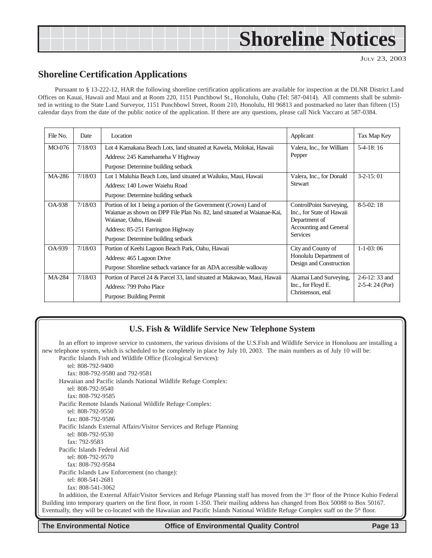## <span id="page-12-0"></span>**Shoreline Notices**

JULY 23, 2003

#### **Shoreline Certification Applications**

Pursuant to § 13-222-12, HAR the following shoreline certification applications are available for inspection at the DLNR District Land Offices on Kauai, Hawaii and Maui and at Room 220, 1151 Punchbowl St., Honolulu, Oahu (Tel: 587-0414). All comments shall be submitted in writing to the State Land Surveyor, 1151 Punchbowl Street, Room 210, Honolulu, HI 96813 and postmarked no later than fifteen (15) calendar days from the date of the public notice of the application. If there are any questions, please call Nick Vaccaro at 587-0384.

| File No.      | Date    | Location                                                                                                                                                                                                                                            | Applicant                                                                                                          | Tax Map Key                         |
|---------------|---------|-----------------------------------------------------------------------------------------------------------------------------------------------------------------------------------------------------------------------------------------------------|--------------------------------------------------------------------------------------------------------------------|-------------------------------------|
| MO-076        | 7/18/03 | Lot 4 Kamakana Beach Lots, land situated at Kawela, Molokai, Hawaii<br>Address: 245 Kamehameha V Highway<br>Purpose: Determine building setback                                                                                                     | Valera, Inc., for William<br>Pepper                                                                                | $5-4-18:16$                         |
| MA-286        | 7/18/03 | Lot 1 Maluhia Beach Lots, land situated at Wailuku, Maui, Hawaii<br>Address: 140 Lower Waiehu Road<br>Purpose: Determine building setback                                                                                                           | Valera, Inc., for Donald<br><b>Stewart</b>                                                                         | $3-2-15:01$                         |
| <b>OA-938</b> | 7/18/03 | Portion of lot 1 being a portion of the Government (Crown) Land of<br>Waianae as shown on DPP File Plan No. 82, land situated at Waianae-Kai,<br>Waianae, Oahu, Hawaii<br>Address: 85-251 Farrington Highway<br>Purpose: Determine building setback | ControlPoint Surveying,<br>Inc., for State of Hawaii<br>Department of<br>Accounting and General<br><b>Services</b> | $8-5-02:18$                         |
| <b>OA-939</b> | 7/18/03 | Portion of Keehi Lagoon Beach Park, Oahu, Hawaii<br>Address: 465 Lagoon Drive<br>Purpose: Shoreline setback variance for an ADA accessible walkway                                                                                                  | City and County of<br>Honolulu Department of<br>Design and Construction                                            | $1-1-03:06$                         |
| MA-284        | 7/18/03 | Portion of Parcel 24 & Parcel 33, land situated at Makawao, Maui, Hawaii<br>Address: 799 Poho Place<br>Purpose: Building Permit                                                                                                                     | Akamai Land Surveying,<br>Inc., for Floyd E.<br>Christenson, etal                                                  | $2-6-12:33$ and<br>$2-5-4:24$ (Por) |

#### **U.S. Fish & Wildlife Service New Telephone System**

In an effort to improve service to customers, the various divisions of the U.S.Fish and Wildlife Service in Honoluou are installing a new telephone system, which is scheduled to be completely in place by July 10, 2003. The main numbers as of July 10 will be: Pacific Islands Fish and Wildlife Office (Ecological Services): tel: 808-792-9400 fax: 808-792-9580 and 792-9581 Hawaiian and Pacific islands National Wildlife Refuge Complex: tel: 808-792-9540 fax: 808-792-9585 Pacific Remote Islands National Wildlife Refuge Complex: tel: 808-792-9550 fax: 808-792-9586 Pacific Islands External Affairs/Visitor Services and Refuge Planning tel: 808-792-9530 fax: 792-9583 Pacific Islands Federal Aid tel: 808-792-9570 fax: 808-792-9584 Pacific Islands Law Enforcement (no change): tel: 808-541-2681 fax: 808-541-3062 In addition, the External Affair/Visitor Services and Refuge Planning staff has moved from the  $3<sup>rd</sup>$  floor of the Prince Kuhio Federal Building into temporary quarters on the first floor, in room 1-350. Their mailing address has changed from Box 50088 to Box 50167. Eventually, they will be co-located with the Hawaiian and Pacific Islands National Wildlife Refuge Complex staff on the 5<sup>th</sup> floor.

**The Environmental Notice Office of Environmental Quality Control Page 13**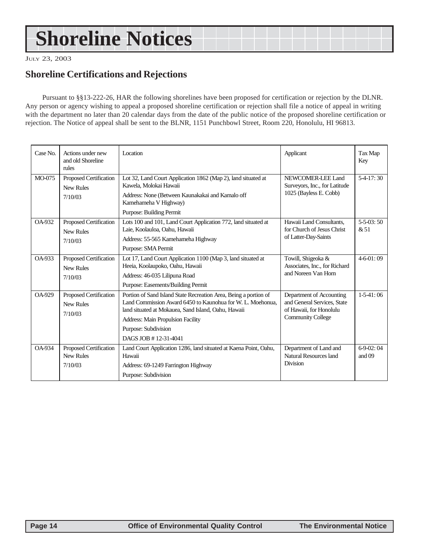## <span id="page-13-0"></span>**Shoreline Notices**

JULY 23, 2003

### **Shoreline Certifications and Rejections**

Pursuant to §§13-222-26, HAR the following shorelines have been proposed for certification or rejection by the DLNR. Any person or agency wishing to appeal a proposed shoreline certification or rejection shall file a notice of appeal in writing with the department no later than 20 calendar days from the date of the public notice of the proposed shoreline certification or rejection. The Notice of appeal shall be sent to the BLNR, 1151 Punchbowl Street, Room 220, Honolulu, HI 96813.

| Case No.      | Actions under new<br>and old Shoreline<br>rules       | Location                                                                                                                                                                                                                                                                   | Applicant                                                                                                      | Tax Map<br>Key         |
|---------------|-------------------------------------------------------|----------------------------------------------------------------------------------------------------------------------------------------------------------------------------------------------------------------------------------------------------------------------------|----------------------------------------------------------------------------------------------------------------|------------------------|
| MO-075        | Proposed Certification<br>New Rules<br>7/10/03        | Lot 32, Land Court Application 1862 (Map 2), land situated at<br>Kawela, Molokai Hawaii<br>Address: None (Between Kaunakakai and Kamalo off<br>Kamehameha V Highway)<br>Purpose: Building Permit                                                                           | NEWCOMER-LEE Land<br>Surveyors, Inc., for Latitude<br>1025 (Bayless E. Cobb)                                   | $5-4-17:30$            |
| OA-932        | Proposed Certification<br><b>New Rules</b><br>7/10/03 | Lots 100 and 101, Land Court Application 772, land situated at<br>Laie, Koolauloa, Oahu, Hawaii<br>Address: 55-565 Kamehameha Highway<br>Purpose: SMA Permit                                                                                                               | Hawaii Land Consultants.<br>for Church of Jesus Christ<br>of Latter-Day-Saints                                 | $5 - 5 - 03:50$<br>&51 |
| OA-933        | Proposed Certification<br>New Rules<br>7/10/03        | Lot 17, Land Court Application 1100 (Map 3, land situated at<br>Heeia, Koolaupoko, Oahu, Hawaii<br>Address: 46-035 Lilipuna Road<br>Purpose: Easements/Building Permit                                                                                                     | Towill, Shigeoka &<br>Associates, Inc., for Richard<br>and Noreen Van Horn                                     | $4 - 6 - 01 : 09$      |
| OA-929        | Proposed Certification<br><b>New Rules</b><br>7/10/03 | Portion of Sand Island State Recreation Area, Being a portion of<br>Land Commission Award 6450 to Kaunohua for W. L. Moehonua.<br>land situated at Mokauea, Sand Island, Oahu, Hawaii<br>Address: Main Propulsion Facility<br>Purpose: Subdivision<br>DAGS JOB #12-31-4041 | Department of Accounting<br>and General Services, State<br>of Hawaii, for Honolulu<br><b>Community College</b> | $1-5-41:06$            |
| <b>OA-934</b> | Proposed Certification<br><b>New Rules</b><br>7/10/03 | Land Court Application 1286, land situated at Kaena Point, Oahu,<br>Hawaii<br>Address: 69-1249 Farrington Highway<br>Purpose: Subdivision                                                                                                                                  | Department of Land and<br>Natural Resources land<br><b>Division</b>                                            | $6-9-02:04$<br>and 09  |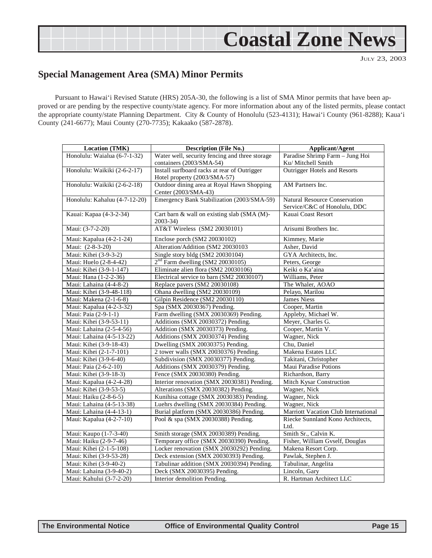## **Coastal Zone News**

JULY 23, 2003

### <span id="page-14-0"></span>**Special Management Area (SMA) Minor Permits**

Pursuant to Hawai'i Revised Statute (HRS) 205A-30, the following is a list of SMA Minor permits that have been approved or are pending by the respective county/state agency. For more information about any of the listed permits, please contact the appropriate county/state Planning Department. City & County of Honolulu (523-4131); Hawai'i County (961-8288); Kaua'i County (241-6677); Maui County (270-7735); Kakaako (587-2878).

| <b>Location (TMK)</b>         | <b>Description (File No.)</b>                  | <b>Applicant/Agent</b>               |
|-------------------------------|------------------------------------------------|--------------------------------------|
| Honolulu: Waialua (6-7-1-32)  | Water well, security fencing and three storage | Paradise Shrimp Farm - Jung Hoi      |
|                               | containers (2003/SMA-54)                       | Ku/ Mitchell Smith                   |
| Honolulu: Waikiki (2-6-2-17)  | Install surfboard racks at rear of Outrigger   | Outrigger Hotels and Resorts         |
|                               | Hotel property (2003/SMA-57)                   |                                      |
| Honolulu: Waikiki (2-6-2-18)  | Outdoor dining area at Royal Hawn Shopping     | AM Partners Inc.                     |
|                               | Center (2003/SMA-43)                           |                                      |
| Honolulu: Kahaluu (4-7-12-20) | Emergency Bank Stabilization (2003/SMA-59)     | Natural Resource Conservation        |
|                               |                                                | Service/C&C of Honolulu, DDC         |
| Kauai: Kapaa (4-3-2-34)       | Cart barn & wall on existing slab (SMA (M)-    | Kauai Coast Resort                   |
|                               | $2003 - 34$                                    |                                      |
| Maui: (3-7-2-20)              | AT&T Wireless (SM2 20030101)                   | Arisumi Brothers Inc.                |
| Maui: Kapalua (4-2-1-24)      | Enclose porch (SM2 20030102)                   | Kimmey, Marie                        |
| Maui: (2-8-3-20)              | Alteration/Addition (SM2 20030103              | Asher, David                         |
| Maui: Kihei (3-9-3-2)         | Single story bldg (SM2 20030104)               | GYA Architects, Inc.                 |
| Maui: Huelo (2-8-4-42)        | $2nd$ Farm dwelling (SM2 20030105)             | Peters, George                       |
| Maui: Kihei (3-9-1-147)       | Eliminate alien flora (SM2 20030106)           | Keiki o Ka'aina                      |
| Maui: Hana (1-2-2-36)         | Electrical service to barn (SM2 20030107)      | Williams, Peter                      |
| Maui: Lahaina (4-4-8-2)       | Replace pavers (SM2 20030108)                  | The Whaler, AOAO                     |
| Maui: Kihei (3-9-48-118)      | Ohana dwelling (SM2 20030109)                  | Pelayo, Marilou                      |
| Maui: Makena (2-1-6-8)        | Gilpin Residence (SM2 20030110)                | <b>James Niess</b>                   |
| Maui: Kapalua (4-2-3-32)      | Spa (SMX 20030367) Pending.                    | Cooper, Martin                       |
| Maui: Paia (2-9-1-1)          | Farm dwelling (SMX 20030369) Pending.          | Appleby, Michael W.                  |
| Maui: Kihei (3-9-53-11)       | Additions (SMX 20030372) Pending.              | Meyer, Charles G.                    |
| Maui: Lahaina (2-5-4-56)      | Addition (SMX 20030373) Pending.               | Cooper, Martin V.                    |
| Maui: Lahaina (4-5-13-22)     | Additions (SMX 20030374) Pending               | Wagner, Nick                         |
| Maui: Kihei (3-9-18-43)       | Dwelling (SMX 20030375) Pending.               | Chu, Daniel                          |
| Maui: Kihei (2-1-7-101)       | 2 tower walls (SMX 20030376) Pending.          | Makena Estates LLC                   |
| Maui: Kihei (3-9-6-40)        | Subdivision (SMX 20030377) Pending.            | Takitani, Christopher                |
| Maui: Paia (2-6-2-10)         | Additions (SMX 20030379) Pending.              | Maui Paradise Potions                |
| Maui: Kihei (3-9-18-3)        | Fence (SMX 20030380) Pending.                  | Richardson, Barry                    |
| Maui: Kapalua (4-2-4-28)      | Interior renovation (SMX 20030381) Pending.    | Mitch Kysar Construction             |
| Maui: Kihei (3-9-53-5)        | Alterations (SMX 20030382) Pending.            | Wagner, Nick                         |
| Maui: Haiku (2-8-6-5)         | Kunihisa cottage (SMX 20030383) Pending.       | Wagner, Nick                         |
| Maui: Lahaina (4-5-13-38)     | Luehrs dwelling (SMX 20030384) Pending.        | Wagner, Nick                         |
| Maui: Lahaina (4-4-13-1)      | Burial platform (SMX 20030386) Pending.        | Marriott Vacation Club International |
| Maui: Kapalua (4-2-7-10)      | Pool & spa (SMX 20030388) Pending.             | Riecke Sunnland Kono Architects,     |
|                               |                                                | Ltd.                                 |
| Maui: Kaupo (1-7-3-40)        | Smith storage (SMX 20030389) Pending.          | Smith Sr., Calvin K.                 |
| Maui: Haiku (2-9-7-46)        | Temporary office (SMX 20030390) Pending.       | Fisher, William Gvself, Douglas      |
| Maui: Kihei (2-1-5-108)       | Locker renovation (SMX 20030292) Pending.      | Makena Resort Corp.                  |
| Maui: Kihei (3-9-53-28)       | Deck extension (SMX 20030393) Pending.         | Pawlak, Stephen J.                   |
| Maui: Kihei (3-9-40-2)        | Tabulinar addition (SMX 20030394) Pending.     | Tabulinar, Angelita                  |
| Maui: Lahaina (3-9-40-2)      | Deck (SMX 20030395) Pending.                   | Lincoln, Gary                        |
| Maui: Kahului (3-7-2-20)      | Interior demolition Pending.                   | R. Hartman Architect LLC             |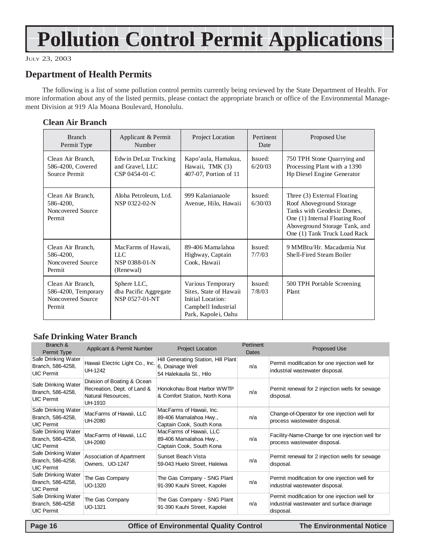## **Pollution Control Permit Applications**

#### JULY 23, 2003

### **Department of Health Permits**

The following is a list of some pollution control permits currently being reviewed by the State Department of Health. For more information about any of the listed permits, please contact the appropriate branch or office of the Environmental Management Division at 919 Ala Moana Boulevard, Honolulu.

#### **Clean Air Branch**

| <b>Branch</b><br>Permit Type                                            | Applicant & Permit<br>Number                                       | Project Location                                                                                               | Pertinent<br>Date  | Proposed Use                                                                                                                                                                             |
|-------------------------------------------------------------------------|--------------------------------------------------------------------|----------------------------------------------------------------------------------------------------------------|--------------------|------------------------------------------------------------------------------------------------------------------------------------------------------------------------------------------|
| Clean Air Branch,<br>586-4200, Covered<br>Source Permit                 | Edwin DeLuz Trucking<br>and Gravel, LLC<br>$CSP 0454-01-C$         | Kapo'aula, Hamakua,<br>Hawaii, TMK (3)<br>407-07, Portion of 11                                                | Issued:<br>6/20/03 | 750 TPH Stone Quarrying and<br>Processing Plant with a 1390<br>Hp Diesel Engine Generator                                                                                                |
| Clean Air Branch,<br>586-4200,<br>Noncovered Source<br>Permit           | Aloha Petroleum, Ltd.<br>NSP 0322-02-N                             | 999 Kalanianaole<br>Avenue, Hilo, Hawaii                                                                       | Issued:<br>6/30/03 | Three (3) External Floating<br>Roof Aboveground Storage<br>Tanks with Geodesic Domes,<br>One (1) Internal Floating Roof<br>Aboveground Storage Tank, and<br>One (1) Tank Truck Load Rack |
| Clean Air Branch,<br>586-4200,<br>Noncovered Source<br>Permit           | MacFarms of Hawaii,<br>$_{\rm{LLC}}$<br>NSP 0388-01-N<br>(Renewal) | 89-406 Mamalahoa<br>Highway, Captain<br>Cook, Hawaii                                                           | Issued:<br>7/7/03  | 9 MMBtu/Hr. Macadamia Nut<br>Shell-Fired Steam Boiler                                                                                                                                    |
| Clean Air Branch,<br>586-4200, Temporary<br>Noncovered Source<br>Permit | Sphere LLC,<br>dba Pacific Aggregate<br>NSP 0527-01-NT             | Various Temporary<br>Sites, State of Hawaii<br>Initial Location:<br>Campbell Industrial<br>Park, Kapolei, Oahu | Issued:<br>7/8/03  | 500 TPH Portable Screening<br>Plant                                                                                                                                                      |

#### **Safe Drinking Water Branch**

| Branch &<br>Permit Type                                       | Applicant & Permit Number                                                                   | <b>Project Location</b>                                                            | Pertinent<br>Dates | <b>Proposed Use</b>                                                                                       |
|---------------------------------------------------------------|---------------------------------------------------------------------------------------------|------------------------------------------------------------------------------------|--------------------|-----------------------------------------------------------------------------------------------------------|
| Safe Drinking Water<br>Branch, 586-4258,<br><b>UIC Permit</b> | Hawaii Electric Light Co., Inc.<br>UH-1242                                                  | Hill Generating Station, Hill Plant<br>6, Drainage Well<br>54 Halekauila St., Hilo | n/a                | Permit modification for one injection well for<br>industrial wastewater disposal.                         |
| Safe Drinking Water<br>Branch, 586-4258,<br><b>UIC Permit</b> | Division of Boating & Ocean<br>Recreation, Dept. of Land &<br>Natural Resources,<br>UH-1910 | Honokohau Boat Harbor WWTP<br>& Comfort Station, North Kona                        | n/a                | Permit renewal for 2 injection wells for sewage<br>disposal.                                              |
| Safe Drinking Water<br>Branch, 586-4258,<br><b>UIC Permit</b> | MacFarms of Hawaii, LLC<br>UH-2080                                                          | MacFarms of Hawaii, Inc.<br>89-406 Mamalahoa Hwy.,<br>Captain Cook, South Kona     | n/a                | Change-of-Operator for one injection well for<br>process wastewater disposal.                             |
| Safe Drinking Water<br>Branch, 586-4258,<br><b>UIC Permit</b> | MacFarms of Hawaii, LLC<br>UH-2080                                                          | MacFarms of Hawaii, LLC<br>89-406 Mamalahoa Hwy.,<br>Captain Cook, South Kona      | n/a                | Facility-Name-Change for one injection well for<br>process wastewater disposal.                           |
| Safe Drinking Water<br>Branch, 586-4258,<br><b>UIC Permit</b> | Association of Apartment<br>Owners, UO-1247                                                 | Sunset Beach Vista<br>59-043 Huelo Street, Haleiwa                                 | n/a                | Permit renewal for 2 injection wells for sewage<br>disposal.                                              |
| Safe Drinking Water<br>Branch, 586-4258,<br><b>UIC Permit</b> | The Gas Company<br>UO-1320                                                                  | The Gas Company - SNG Plant<br>91-390 Kauhi Street, Kapolei                        | n/a                | Permit modification for one injection well for<br>industrial wastewater disposal.                         |
| Safe Drinking Water<br>Branch, 586-4258<br><b>UIC Permit</b>  | The Gas Company<br>UO-1321                                                                  | The Gas Company - SNG Plant<br>91-390 Kauhi Street, Kapolei                        | n/a                | Permit modification for one injection well for<br>industrial wastewater and surface drainage<br>disposal. |

 **Page 16 Control Control Control Control Control Control Control Control Control Control Page 16 Control Page 16 Control Control Control Control Control Control Control Control Control Control Control Control Control Cont**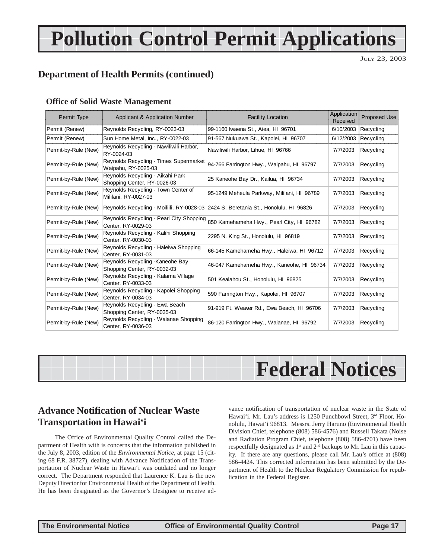## **Pollution Control Permit Applications**

JULY 23, 2003

## **Department of Health Permits (continued)**

#### A JILIKE OLAMINI AVANE MANAYENIENI ARABIYA MATSHARI A MATSHARI A MATSHARI A MATSHARI A MATSHARI A MATSHARI A M

| <b>Office of Solid Waste Management</b> |                                                                 |                                                                                     |                         |                     |  |
|-----------------------------------------|-----------------------------------------------------------------|-------------------------------------------------------------------------------------|-------------------------|---------------------|--|
| Permit Type                             | Applicant & Application Number                                  | <b>Facility Location</b>                                                            | Application<br>Received | <b>Proposed Use</b> |  |
| Permit (Renew)                          | Reynolds Recycling, RY-0023-03                                  | 99-1160 Iwaena St., Aiea, HI 96701                                                  | 6/10/2003               | Recycling           |  |
| Permit (Renew)                          | Sun Home Metal, Inc., RY-0022-03                                | 91-567 Nukuawa St., Kapolei, HI 96707                                               | 6/12/2003               | Recycling           |  |
| Permit-by-Rule (New)                    | Reynolds Recycling - Nawiliwili Harbor,<br>RY-0024-03           | Nawiliwili Harbor, Lihue, HI 96766                                                  | 7/7/2003                | Recycling           |  |
| Permit-by-Rule (New)                    | Reynolds Recycling - Times Supermarket<br>Waipahu, RY-0025-03   | 94-766 Farrington Hwy., Waipahu, HI 96797                                           | 7/7/2003                | Recycling           |  |
| Permit-by-Rule (New)                    | Reynolds Recycling - Aikahi Park<br>Shopping Center, RY-0026-03 | 25 Kaneohe Bay Dr., Kailua, HI 96734                                                | 7/7/2003                | Recycling           |  |
| Permit-by-Rule (New)                    | Reynolds Recycling - Town Center of<br>Mililani, RY-0027-03     | 95-1249 Meheula Parkway, Mililani, HI 96789                                         | 7/7/2003                | Recycling           |  |
| Permit-by-Rule (New)                    |                                                                 | Reynolds Recycling - Moiliili, RY-0028-03 2424 S. Beretania St., Honolulu, HI 96826 | 7/7/2003                | Recycling           |  |
| Permit-by-Rule (New)                    | Reynolds Recycling - Pearl City Shopping<br>Center, RY-0029-03  | 850 Kamehameha Hwy., Pearl City, HI 96782                                           | 7/7/2003                | Recycling           |  |
| Permit-by-Rule (New)                    | Reynolds Recycling - Kalihi Shopping<br>Center, RY-0030-03      | 2295 N. King St., Honolulu, HI 96819                                                | 7/7/2003                | Recycling           |  |
| Permit-by-Rule (New)                    | Reynolds Recycling - Haleiwa Shopping<br>Center, RY-0031-03     | 66-145 Kamehameha Hwy., Haleiwa, HI 96712                                           | 7/7/2003                | Recycling           |  |
| Permit-by-Rule (New)                    | Reynolds Recycling - Kaneohe Bay<br>Shopping Center, RY-0032-03 | 46-047 Kamehameha Hwy., Kaneohe, HI 96734                                           | 7/7/2003                | Recycling           |  |
| Permit-by-Rule (New)                    | Reynolds Recycling - Kalama Village<br>Center, RY-0033-03       | 501 Kealahou St., Honolulu, HI 96825                                                | 7/7/2003                | Recycling           |  |
| Permit-by-Rule (New)                    | Reynolds Recycling - Kapolei Shopping<br>Center, RY-0034-03     | 590 Farrington Hwy., Kapolei, HI 96707                                              | 7/7/2003                | Recycling           |  |
| Permit-by-Rule (New)                    | Reynolds Recycling - Ewa Beach<br>Shopping Center, RY-0035-03   | 91-919 Ft. Weaver Rd., Ewa Beach, HI 96706                                          | 7/7/2003                | Recycling           |  |
| Permit-by-Rule (New)                    | Reynolds Recycling - Waianae Shopping<br>Center, RY-0036-03     | 86-120 Farrington Hwy., Waianae, HI 96792                                           | 7/7/2003                | Recycling           |  |
|                                         |                                                                 |                                                                                     |                         |                     |  |



### **Advance Notification of Nuclear Waste Transportation in Hawai'i**

The Office of Environmental Quality Control called the Department of Health with is concerns that the information published in the July 8, 2003, edition of the *Environmental Notice*, at page 15 (citing 68 F.R. 38727), dealing with Advance Notification of the Transportation of Nuclear Waste in Hawai'i was outdated and no longer correct. The Department responded that Laurence K. Lau is the new Deputy Director for Environmental Health of the Department of Health. He has been designated as the Governor's Designee to receive ad-

vance notification of transportation of nuclear waste in the State of Hawai'i. Mr. Lau's address is 1250 Punchbowl Street, 3<sup>rd</sup> Floor, Honolulu, Hawai'i 96813. Messrs. Jerry Haruno (Environmental Health Division Chief, telephone (808) 586-4576) and Russell Takata (Noise and Radiation Program Chief, telephone (808) 586-4701) have been respectfully designated as 1<sup>st</sup> and 2<sup>nd</sup> backups to Mr. Lau in this capacity. If there are any questions, please call Mr. Lau's office at (808) 586-4424. This corrected information has been submitted by the Department of Health to the Nuclear Regulatory Commission for republication in the Federal Register.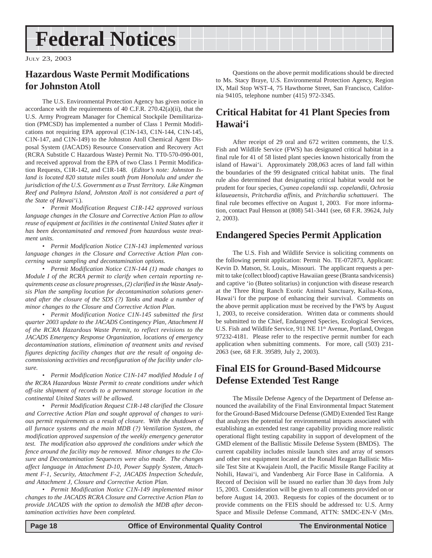## <span id="page-17-0"></span>**Federal Notices**

JULY 23, 2003

## **Hazardous Waste Permit Modifications for Johnston Atoll**

The U.S. Environmental Protection Agency has given notice in accordance with the requirements of 40 C.F.R. 270.42(a)(ii), that the U.S. Army Progream Manager for Chemical Stockpile Demilitarization (PMCSD) has implemented a number of Class 1 Permit Modifications not requiring EPA approval (C1N-143, C1N-144, C1N-145, C1N-147, and C1N-149) to the Johnston Atoll Chemical Agent Disposal System (JACADS) Resource Conservation and Recovery Act (RCRA Substitle C Hazardous Waste) Permit No. TT0-570-090-001, and received approval from the EPA of two Class 1 Permit Modification Requests, C1R-142, and C1R-148. (*Editor's note: Johnston Island is located 820 statute miles south from Honolulu and under the jurisdiction of the U.S. Government as a Trust Territory. Like Kingman Reef and Palmyra Island, Johnston Atoll is not considered a part of the State of Hawai'i.*).

• *Permit Modification Request C1R-142 approved various language changes in the Closure and Corrective Action Plan to allow reuse of equipment at facilities in the continental United States after it has been decontaminated and removed from hazardous waste treatment units.*

*• Permit Modification Notice C1N-143 implemented various language changes in the Closure and Corrective Action Plan concerning waste sampling and decontamination options.*

*• Permit Modification Notice C1N-144 (1) made changes to Module I of the RCRA permit to clarify when certain reporting requirements cease as closure progresses, (2) clarified in the Waste Analysis Plan the sampling location for decontamination solutions generated after the closure of the SDS (?) Tanks and made a number of minor changes to the Closure and Corrective Action Plan.*

*• Permit Modification Notice C1N-145 submitted the first quarter 2003 update to the JACADS Contingency Plan, Attachment H of the RCRA Hazardous Waste Permit, to reflect revisions to the JACADS Emergency Response Organization, locations of emergency decontamination stations, elimination of treatment units and revised figures depicting facility changes that are the result of ongoing decommissioning activities and reconfiguration of the facility under closure.*

*• Permit Modification Notice C1N-147 modified Module I of the RCRA Hazardous Waste Permit to create conditions under which off-site shipment of records to a permanent storage location in the continental United States will be allowed.*

*• Permit Modification Request C1R-148 clarified the Closure and Corrective Action Plan and sought approval of changes to various permit requirements as a result of closure. With the shutdown of all furnace systems and the main MDB (?) Ventilation System, the modification approved suspension of the weekly emergency generator test. The modification also approved the conditions under which the fence around the facility may be removed. Minor changes to the Closure and Decontamination Sequences were also made. The changes affect language in Attachment D-10, Power Supply System, Attachment F-1, Security, Attachment F-2, JACADS Inspection Schedule, and Attachment J, Closure and Corrective Action Plan.*

*• Permit Modification Notice C1N-149 implemented minor changes to the JACADS RCRA Closure and Corrective Action Plan to provide JACADS with the option to demolish the MDB after decontamination activities have been completed.*

Questions on the above permit modifications should be directed to Ms. Stacy Braye, U.S. Environmental Protection Agency, Region IX, Mail Stop WST-4, 75 Hawthorne Street, San Francisco, California 94105, telephone number (415) 972-3345.

### **Critical Habitat for 41 Plant Species from Hawai'i**

After receipt of 29 oral and 672 written comments, the U.S. Fish and Wildlife Service (FWS) has designated critical habitat in a final rule for 41 of 58 listed plant species known historically from the island of Hawai'i. Approximately 208,063 acres of land fall within the boundaries of the 99 designated critical habitat units. The final rule also determined that designating critical habitat would not be prudent for four species, *Cyanea copelandii* ssp. *copelandii*, *Ochrosia kilaueaensis*, *Pritchardia affinis*, and *Pritchardia schattaueri*. The final rule becomes effective on August 1, 2003. For more information, contact Paul Henson at (808) 541-3441 (see, 68 F.R. 39624, July 2, 2003).

### **Endangered Species Permit Application**

The U.S. Fish and Wildlife Service is soliciting comments on the following permit application: Permit No. TE-072873, Applicant: Kevin D. Matson, St. Louis,. Missouri. The applicant requests a permit to take (collect blood) captive Hawaiian geese (Branta sandvicensis) and captive 'io (Buteo solitarius) in conjunction with disease research at the Three Ring Ranch Exotic Animal Sanctuary, Kailua-Kona, Hawai'i for the purpose of enhancing their survival. Comments on the above permit application must be received by the FWS by August 1, 2003, to receive consideration. Written data or comments should be submitted to the Chief, Endangered Species, Ecological Services, U.S. Fish and Wildlife Service, 911 NE 11<sup>th</sup> Avenue, Portland, Oregon 97232-4181. Please refer to the respective permit number for each application when submitting comments. For more, call (503) 231- 2063 (see, 68 F.R. 39589, July 2, 2003).

### **Final EIS for Ground-Based Midcourse Defense Extended Test Range**

The Missile Defense Agency of the Department of Defense announced the availability of the Final Environmental Impact Statement for the Ground-Based Midcourse Defense (GMD) Extended Test Range that analyzes the potential for environmental impacts associated with establishing an extended test range capability providing more realistic operational flight testing capability in support of development of the GMD element of the Ballistic Missile Defense System (BMDS). The current capability includes missile launch sites and array of sensors and other test equipment located at the Ronald Reagan Ballistic Missile Test Site at Kwajalein Atoll, the Pacific Missile Range Facility at Nohili, Hawai'i, and Vandenberg Air Force Base in California. A Record of Decision will be issued no earlier than 30 days from July 15, 2003. Consideration will be given to all comments provided on or before August 14, 2003. Requests for copies of the document or to provide comments on the FEIS should be addressed to: U.S. Army Space and Missile Defense Command, ATTN: SMDC-EN-V (Mrs.